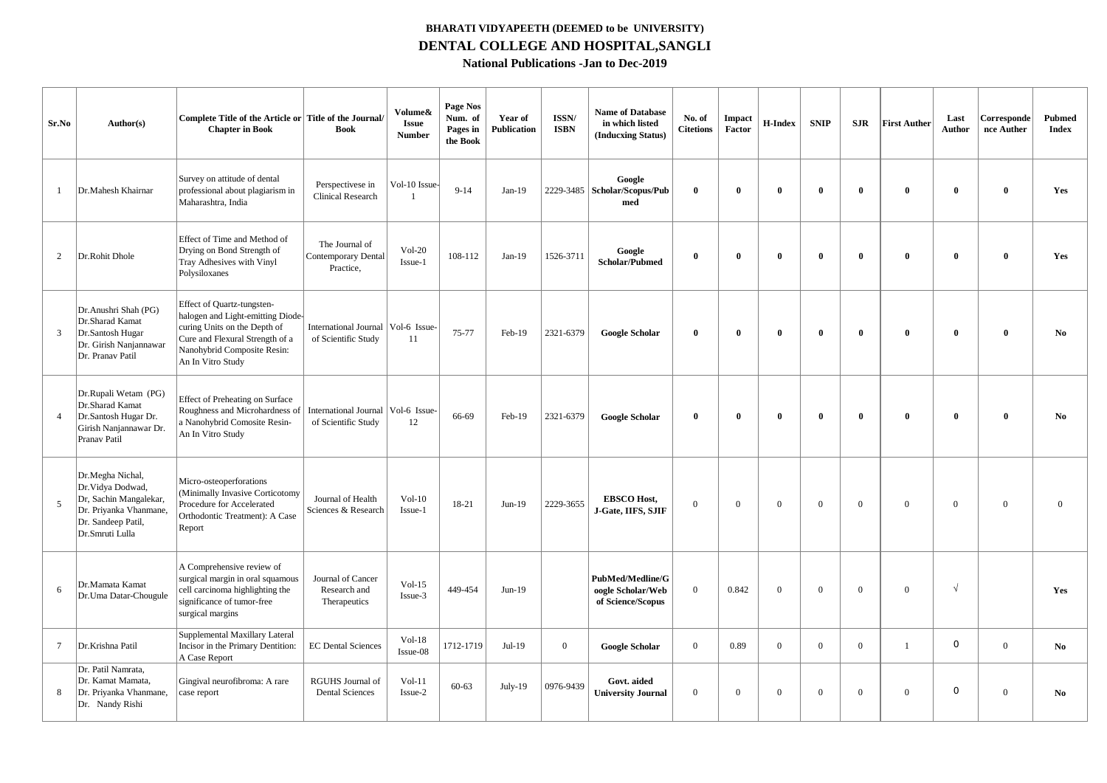## **BHARATI VIDYAPEETH (DEEMED to be UNIVERSITY) DENTAL COLLEGE AND HOSPITAL,SANGLI National Publications -Jan to Dec-2019**

| Sr.No           | Author(s)                                                                                                                          | Complete Title of the Article or Title of the Journal/<br><b>Chapter in Book</b>                                                                                                       | <b>Book</b>                                               | Volume&<br><b>Issue</b><br><b>Number</b> | Page Nos<br>Num. of<br>Pages in<br>the Book | Year of<br><b>Publication</b> | ISSN/<br><b>ISBN</b> | <b>Name of Database</b><br>in which listed<br>(Inducxing Status)  | No. of<br><b>Citetions</b> | $\bold{Im}$<br>Factor | H-Index        | <b>SNIP</b>  | <b>SJR</b>     | <b>First Auther</b> | Last<br>Author | Corresponde<br>nce Auther | <b>Pubmed</b><br><b>Index</b> |
|-----------------|------------------------------------------------------------------------------------------------------------------------------------|----------------------------------------------------------------------------------------------------------------------------------------------------------------------------------------|-----------------------------------------------------------|------------------------------------------|---------------------------------------------|-------------------------------|----------------------|-------------------------------------------------------------------|----------------------------|-----------------------|----------------|--------------|----------------|---------------------|----------------|---------------------------|-------------------------------|
| $\overline{1}$  | Dr.Mahesh Khairnar                                                                                                                 | Survey on attitude of dental<br>professional about plagiarism in<br>Maharashtra, India                                                                                                 | Perspectivese in<br>Clinical Research                     | Vol-10 Issue-<br>$\overline{1}$          | $9 - 14$                                    | Jan-19                        |                      | Google<br>2229-3485   Scholar/Scopus/Pub<br>med                   | $\mathbf 0$                | $\theta$              | $\theta$       | $\theta$     | $\bf{0}$       | $\theta$            | $\theta$       | $\mathbf{0}$              | Yes                           |
| 2               | Dr.Rohit Dhole                                                                                                                     | Effect of Time and Method of<br>Drying on Bond Strength of<br>Tray Adhesives with Vinyl<br>Polysiloxanes                                                                               | The Journal of<br><b>Contemporary Dental</b><br>Practice, | $Vol-20$<br>Issue-1                      | 108-112                                     | $Jan-19$                      | 1526-3711            | Google<br>Scholar/Pubmed                                          | $\mathbf 0$                | $\theta$              | $\theta$       | $\mathbf{0}$ | $\bf{0}$       | $\theta$            | $\theta$       | $\mathbf{0}$              | Yes                           |
| 3               | Dr. Anushri Shah (PG)<br>Dr.Sharad Kamat<br>Dr.Santosh Hugar<br>Dr. Girish Nanjannawar<br>Dr. Pranav Patil                         | Effect of Quartz-tungsten-<br>halogen and Light-emitting Diode-<br>curing Units on the Depth of<br>Cure and Flexural Strength of a<br>Nanohybrid Composite Resin:<br>An In Vitro Study | <b>International Journal</b><br>of Scientific Study       | Vol-6 Issue-<br>11                       | 75-77                                       | Feb-19                        | 2321-6379            | <b>Google Scholar</b>                                             | $\theta$                   | $\bf{0}$              | $\mathbf{0}$   | $\mathbf{0}$ | $\bf{0}$       | $\mathbf{0}$        | $\mathbf{0}$   | $\mathbf{0}$              | No.                           |
| $\overline{4}$  | Dr.Rupali Wetam (PG)<br>Dr.Sharad Kamat<br>Dr.Santosh Hugar Dr.<br>Girish Nanjannawar Dr.<br>Pranav Patil                          | <b>Effect of Preheating on Surface</b><br>Roughness and Microhardness of<br>a Nanohybrid Comosite Resin-<br>An In Vitro Study                                                          | International Journal Vol-6 Issue-<br>of Scientific Study | 12                                       | 66-69                                       | Feb-19                        | 2321-6379            | <b>Google Scholar</b>                                             | $\theta$                   | $\mathbf{0}$          | $\theta$       | $\mathbf{0}$ | $\bf{0}$       | $\theta$            | $\theta$       | $\mathbf{0}$              | N <sub>0</sub>                |
| 5               | Dr.Megha Nichal,<br>Dr. Vidya Dodwad,<br>Dr, Sachin Mangalekar,<br>Dr. Priyanka Vhanmane,<br>Dr. Sandeep Patil,<br>Dr.Smruti Lulla | Micro-osteoperforations<br>(Minimally Invasive Corticotomy<br>Procedure for Accelerated<br>Orthodontic Treatment): A Case<br>Report                                                    | Journal of Health<br>Sciences & Research                  | $Vol-10$<br>Issue-1                      | 18-21                                       | $Jun-19$                      | 2229-3655            | <b>EBSCO Host.</b><br>J-Gate, IIFS, SJIF                          | $\overline{0}$             | $\Omega$              | $\theta$       | $\Omega$     | $\overline{0}$ | $\Omega$            | $\overline{0}$ | $\theta$                  | $\theta$                      |
| 6               | Dr.Mamata Kamat<br>Dr.Uma Datar-Chougule                                                                                           | A Comprehensive review of<br>surgical margin in oral squamous<br>cell carcinoma highlighting the<br>significance of tumor-free<br>surgical margins                                     | Journal of Cancer<br>Research and<br>Therapeutics         | $Vol-15$<br>Issue-3                      | 449-454                                     | $Jun-19$                      |                      | <b>PubMed/Medline/G</b><br>oogle Scholar/Web<br>of Science/Scopus | $\overline{0}$             | 0.842                 | $\overline{0}$ | $\Omega$     | $\overline{0}$ | $\overline{0}$      | $\sqrt{ }$     |                           | Yes                           |
| $7\phantom{.0}$ | Dr.Krishna Patil                                                                                                                   | Supplemental Maxillary Lateral<br>Incisor in the Primary Dentition:<br>A Case Report                                                                                                   | <b>EC Dental Sciences</b>                                 | $Vol-18$<br>$Issue-08$                   | 1712-1719                                   | $Jul-19$                      | $\mathbf{0}$         | <b>Google Scholar</b>                                             | $\theta$                   | 0.89                  | $\theta$       | $\Omega$     | $\Omega$       | $\mathbf{1}$        | $\circ$        | $\Omega$                  | N <sub>0</sub>                |
| 8               | Dr. Patil Namrata,<br>Dr. Kamat Mamata.<br>Dr. Priyanka Vhanmane,<br>Dr. Nandy Rishi                                               | Gingival neurofibroma: A rare<br>case report                                                                                                                                           | <b>RGUHS Journal of</b><br><b>Dental Sciences</b>         | $Vol-11$<br>Issue-2                      | $60 - 63$                                   | $July-19$                     | 0976-9439            | Govt. aided<br><b>University Journal</b>                          | $\overline{0}$             | $\Omega$              | $\overline{0}$ | $\mathbf{0}$ | $\overline{0}$ | $\overline{0}$      | 0              | $\overline{0}$            | No.                           |